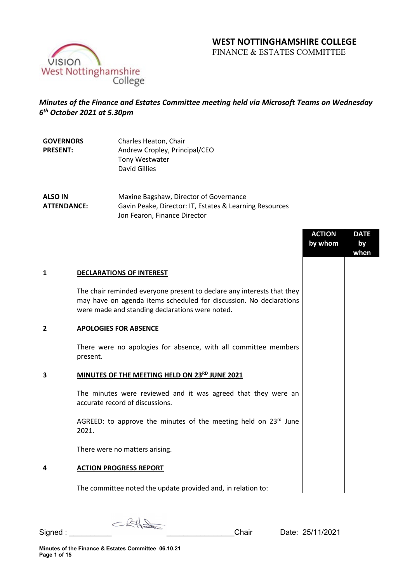## **WEST NOTTINGHAMSHIRE COLLEGE**

FINANCE & ESTATES COMMITTEE



# *Minutes of the Finance and Estates Committee meeting held via Microsoft Teams on Wednesday 6th October 2021 at 5.30pm*

| <b>GOVERNORS</b><br><b>PRESENT:</b> | Charles Heaton, Chair<br>Andrew Cropley, Principal/CEO |
|-------------------------------------|--------------------------------------------------------|
|                                     | Tony Westwater                                         |
|                                     | David Gillies                                          |
|                                     |                                                        |

**ALSO IN ATTENDANCE:** Maxine Bagshaw, Director of Governance Gavin Peake, Director: IT, Estates & Learning Resources Jon Fearon, Finance Director

|                |                                                                                                                                                                                                 | <b>ACTION</b><br>by whom | <b>DATE</b><br>by<br>when |
|----------------|-------------------------------------------------------------------------------------------------------------------------------------------------------------------------------------------------|--------------------------|---------------------------|
| 1              | <b>DECLARATIONS OF INTEREST</b>                                                                                                                                                                 |                          |                           |
|                | The chair reminded everyone present to declare any interests that they<br>may have on agenda items scheduled for discussion. No declarations<br>were made and standing declarations were noted. |                          |                           |
| $\overline{2}$ | <b>APOLOGIES FOR ABSENCE</b>                                                                                                                                                                    |                          |                           |
|                | There were no apologies for absence, with all committee members<br>present.                                                                                                                     |                          |                           |
| 3              | MINUTES OF THE MEETING HELD ON 23RD JUNE 2021                                                                                                                                                   |                          |                           |
|                | The minutes were reviewed and it was agreed that they were an<br>accurate record of discussions.                                                                                                |                          |                           |
|                | AGREED: to approve the minutes of the meeting held on 23rd June<br>2021.                                                                                                                        |                          |                           |
|                | There were no matters arising.                                                                                                                                                                  |                          |                           |
| 4              | <b>ACTION PROGRESS REPORT</b>                                                                                                                                                                   |                          |                           |
|                | The committee noted the update provided and, in relation to:                                                                                                                                    |                          |                           |

 $C$ RH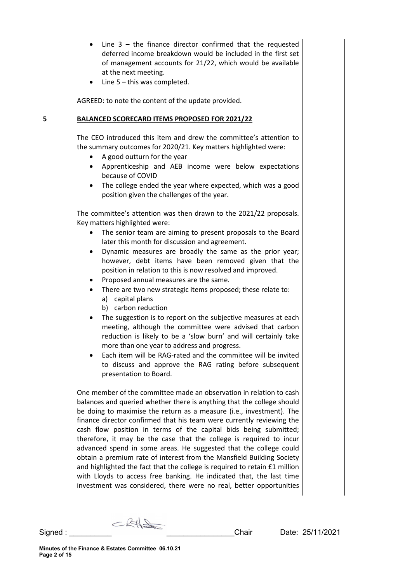- Line  $3 -$  the finance director confirmed that the requested deferred income breakdown would be included in the first set of management accounts for 21/22, which would be available at the next meeting.
- Line  $5 -$  this was completed.

AGREED: to note the content of the update provided.

#### **5 BALANCED SCORECARD ITEMS PROPOSED FOR 2021/22**

The CEO introduced this item and drew the committee's attention to the summary outcomes for 2020/21. Key matters highlighted were:

- A good outturn for the year
- Apprenticeship and AEB income were below expectations because of COVID
- The college ended the year where expected, which was a good position given the challenges of the year.

The committee's attention was then drawn to the 2021/22 proposals. Key matters highlighted were:

- The senior team are aiming to present proposals to the Board later this month for discussion and agreement.
- Dynamic measures are broadly the same as the prior year; however, debt items have been removed given that the position in relation to this is now resolved and improved.
- Proposed annual measures are the same.
- There are two new strategic items proposed; these relate to: a) capital plans
	- b) carbon reduction
- The suggestion is to report on the subjective measures at each meeting, although the committee were advised that carbon reduction is likely to be a 'slow burn' and will certainly take more than one year to address and progress.
- Each item will be RAG-rated and the committee will be invited to discuss and approve the RAG rating before subsequent presentation to Board.

One member of the committee made an observation in relation to cash balances and queried whether there is anything that the college should be doing to maximise the return as a measure (i.e., investment). The finance director confirmed that his team were currently reviewing the cash flow position in terms of the capital bids being submitted; therefore, it may be the case that the college is required to incur advanced spend in some areas. He suggested that the college could obtain a premium rate of interest from the Mansfield Building Society and highlighted the fact that the college is required to retain £1 million with Lloyds to access free banking. He indicated that, the last time investment was considered, there were no real, better opportunities

 $CRH$ Signed : \_\_\_\_\_\_\_\_\_\_ \_\_\_\_\_\_\_\_\_\_\_\_\_\_\_\_Chair Date: 25/11/2021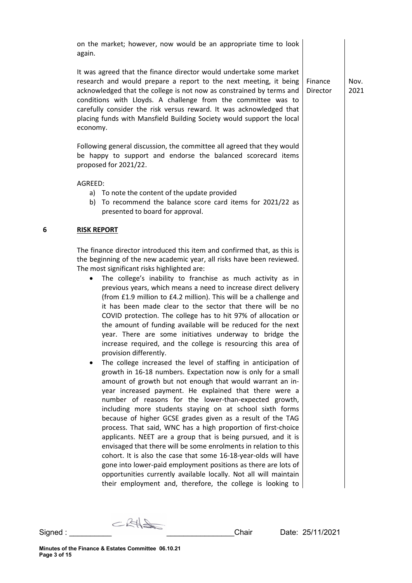on the market; however, now would be an appropriate time to look again.

It was agreed that the finance director would undertake some market research and would prepare a report to the next meeting, it being acknowledged that the college is not now as constrained by terms and conditions with Lloyds. A challenge from the committee was to carefully consider the risk versus reward. It was acknowledged that placing funds with Mansfield Building Society would support the local economy.

Following general discussion, the committee all agreed that they would be happy to support and endorse the balanced scorecard items proposed for 2021/22.

AGREED:

- a) To note the content of the update provided
- b) To recommend the balance score card items for 2021/22 as presented to board for approval.

#### **6 RISK REPORT**

The finance director introduced this item and confirmed that, as this is the beginning of the new academic year, all risks have been reviewed. The most significant risks highlighted are:

- The college's inability to franchise as much activity as in previous years, which means a need to increase direct delivery (from £1.9 million to £4.2 million). This will be a challenge and it has been made clear to the sector that there will be no COVID protection. The college has to hit 97% of allocation or the amount of funding available will be reduced for the next year. There are some initiatives underway to bridge the increase required, and the college is resourcing this area of provision differently.
- The college increased the level of staffing in anticipation of growth in 16-18 numbers. Expectation now is only for a small amount of growth but not enough that would warrant an inyear increased payment. He explained that there were a number of reasons for the lower-than-expected growth, including more students staying on at school sixth forms because of higher GCSE grades given as a result of the TAG process. That said, WNC has a high proportion of first-choice applicants. NEET are a group that is being pursued, and it is envisaged that there will be some enrolments in relation to this cohort. It is also the case that some 16-18-year-olds will have gone into lower-paid employment positions as there are lots of opportunities currently available locally. Not all will maintain their employment and, therefore, the college is looking to

Finance Director Nov. 2021

CRHS

Signed : \_\_\_\_\_\_\_\_\_\_ \_\_\_\_\_\_\_\_\_\_\_\_\_\_\_\_Chair Date: 25/11/2021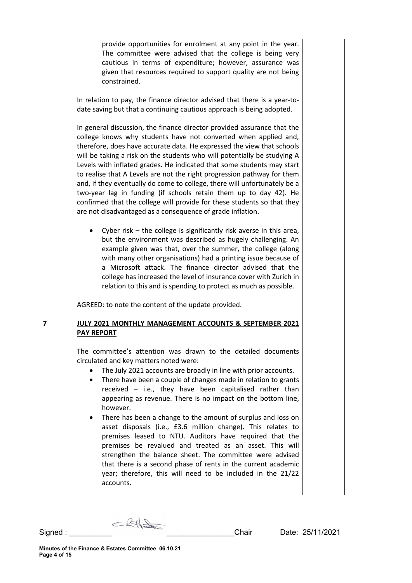provide opportunities for enrolment at any point in the year. The committee were advised that the college is being very cautious in terms of expenditure; however, assurance was given that resources required to support quality are not being constrained.

In relation to pay, the finance director advised that there is a year-todate saving but that a continuing cautious approach is being adopted.

In general discussion, the finance director provided assurance that the college knows why students have not converted when applied and, therefore, does have accurate data. He expressed the view that schools will be taking a risk on the students who will potentially be studying A Levels with inflated grades. He indicated that some students may start to realise that A Levels are not the right progression pathway for them and, if they eventually do come to college, there will unfortunately be a two-year lag in funding (if schools retain them up to day 42). He confirmed that the college will provide for these students so that they are not disadvantaged as a consequence of grade inflation.

Cyber risk – the college is significantly risk averse in this area, but the environment was described as hugely challenging. An example given was that, over the summer, the college (along with many other organisations) had a printing issue because of a Microsoft attack. The finance director advised that the college has increased the level of insurance cover with Zurich in relation to this and is spending to protect as much as possible.

AGREED: to note the content of the update provided.

## **7 JULY 2021 MONTHLY MANAGEMENT ACCOUNTS & SEPTEMBER 2021 PAY REPORT**

The committee's attention was drawn to the detailed documents circulated and key matters noted were:

- The July 2021 accounts are broadly in line with prior accounts.
- There have been a couple of changes made in relation to grants received – i.e., they have been capitalised rather than appearing as revenue. There is no impact on the bottom line, however.
- There has been a change to the amount of surplus and loss on asset disposals (i.e., £3.6 million change). This relates to premises leased to NTU. Auditors have required that the premises be revalued and treated as an asset. This will strengthen the balance sheet. The committee were advised that there is a second phase of rents in the current academic year; therefore, this will need to be included in the 21/22 accounts.

 $CRH$ Signed : \_\_\_\_\_\_\_\_\_\_ \_\_\_\_\_\_\_\_\_\_\_\_\_\_\_\_Chair Date: 25/11/2021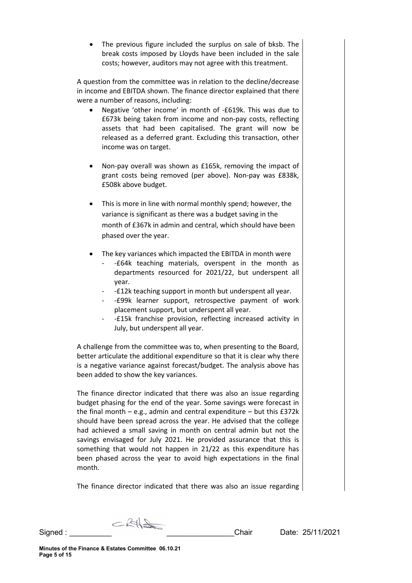The previous figure included the surplus on sale of bksb. The break costs imposed by Lloyds have been included in the sale costs; however, auditors may not agree with this treatment.

A question from the committee was in relation to the decline/decrease in income and EBITDA shown. The finance director explained that there were a number of reasons, including:

- Negative 'other income' in month of -£619k. This was due to £673k being taken from income and non-pay costs, reflecting assets that had been capitalised. The grant will now be released as a deferred grant. Excluding this transaction, other income was on target.
- Non-pay overall was shown as £165k, removing the impact of grant costs being removed (per above). Non-pay was £838k, £508k above budget.
- This is more in line with normal monthly spend; however, the variance is significant as there was a budget saving in the month of £367k in admin and central, which should have been phased over the year.
- The key variances which impacted the EBITDA in month were
	- -£64k teaching materials, overspent in the month as departments resourced for 2021/22, but underspent all year.
	- -£12k teaching support in month but underspent all year.
	- -£99k learner support, retrospective payment of work placement support, but underspent all year.
	- -£15k franchise provision, reflecting increased activity in July, but underspent all year.

A challenge from the committee was to, when presenting to the Board, better articulate the additional expenditure so that it is clear why there is a negative variance against forecast/budget. The analysis above has been added to show the key variances.

The finance director indicated that there was also an issue regarding budget phasing for the end of the year. Some savings were forecast in the final month  $-$  e.g., admin and central expenditure  $-$  but this £372 $k$ should have been spread across the year. He advised that the college had achieved a small saving in month on central admin but not the savings envisaged for July 2021. He provided assurance that this is something that would not happen in 21/22 as this expenditure has been phased across the year to avoid high expectations in the final month.

The finance director indicated that there was also an issue regarding

 $CRH$ Signed : \_\_\_\_\_\_\_\_\_\_ \_\_\_\_\_\_\_\_\_\_\_\_\_\_\_\_Chair Date: 25/11/2021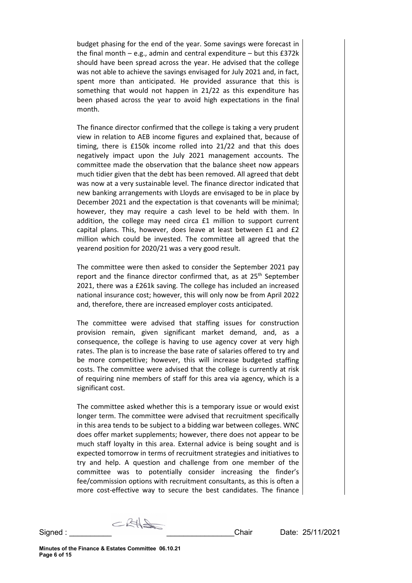budget phasing for the end of the year. Some savings were forecast in the final month  $-$  e.g., admin and central expenditure  $-$  but this £372 $k$ should have been spread across the year. He advised that the college was not able to achieve the savings envisaged for July 2021 and, in fact, spent more than anticipated. He provided assurance that this is something that would not happen in 21/22 as this expenditure has been phased across the year to avoid high expectations in the final month.

The finance director confirmed that the college is taking a very prudent view in relation to AEB income figures and explained that, because of timing, there is £150k income rolled into 21/22 and that this does negatively impact upon the July 2021 management accounts. The committee made the observation that the balance sheet now appears much tidier given that the debt has been removed. All agreed that debt was now at a very sustainable level. The finance director indicated that new banking arrangements with Lloyds are envisaged to be in place by December 2021 and the expectation is that covenants will be minimal; however, they may require a cash level to be held with them. In addition, the college may need circa £1 million to support current capital plans. This, however, does leave at least between £1 and £2 million which could be invested. The committee all agreed that the yearend position for 2020/21 was a very good result.

The committee were then asked to consider the September 2021 pay report and the finance director confirmed that, as at 25<sup>th</sup> September 2021, there was a £261k saving. The college has included an increased national insurance cost; however, this will only now be from April 2022 and, therefore, there are increased employer costs anticipated.

The committee were advised that staffing issues for construction provision remain, given significant market demand, and, as a consequence, the college is having to use agency cover at very high rates. The plan is to increase the base rate of salaries offered to try and be more competitive; however, this will increase budgeted staffing costs. The committee were advised that the college is currently at risk of requiring nine members of staff for this area via agency, which is a significant cost.

The committee asked whether this is a temporary issue or would exist longer term. The committee were advised that recruitment specifically in this area tends to be subject to a bidding war between colleges. WNC does offer market supplements; however, there does not appear to be much staff loyalty in this area. External advice is being sought and is expected tomorrow in terms of recruitment strategies and initiatives to try and help. A question and challenge from one member of the committee was to potentially consider increasing the finder's fee/commission options with recruitment consultants, as this is often a more cost-effective way to secure the best candidates. The finance

CRHS Signed : \_\_\_\_\_\_\_\_\_\_ \_\_\_\_\_\_\_\_\_\_\_\_\_\_\_\_Chair Date: 25/11/2021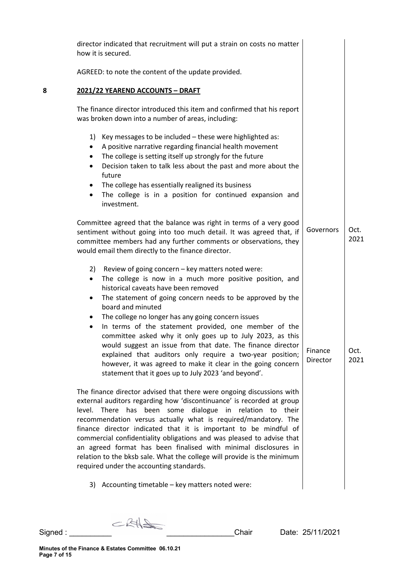|   | director indicated that recruitment will put a strain on costs no matter<br>how it is secured.                                                                                                                                                                                                                                                                                                                                                                                                                                                                                                                                                                                                                          |                     |              |
|---|-------------------------------------------------------------------------------------------------------------------------------------------------------------------------------------------------------------------------------------------------------------------------------------------------------------------------------------------------------------------------------------------------------------------------------------------------------------------------------------------------------------------------------------------------------------------------------------------------------------------------------------------------------------------------------------------------------------------------|---------------------|--------------|
|   | AGREED: to note the content of the update provided.                                                                                                                                                                                                                                                                                                                                                                                                                                                                                                                                                                                                                                                                     |                     |              |
| 8 | 2021/22 YEAREND ACCOUNTS - DRAFT                                                                                                                                                                                                                                                                                                                                                                                                                                                                                                                                                                                                                                                                                        |                     |              |
|   | The finance director introduced this item and confirmed that his report<br>was broken down into a number of areas, including:                                                                                                                                                                                                                                                                                                                                                                                                                                                                                                                                                                                           |                     |              |
|   | 1) Key messages to be included - these were highlighted as:<br>A positive narrative regarding financial health movement<br>٠<br>The college is setting itself up strongly for the future<br>٠<br>Decision taken to talk less about the past and more about the<br>$\bullet$<br>future<br>The college has essentially realigned its business<br>٠<br>The college is in a position for continued expansion and<br>investment.                                                                                                                                                                                                                                                                                             |                     |              |
|   | Committee agreed that the balance was right in terms of a very good<br>sentiment without going into too much detail. It was agreed that, if<br>committee members had any further comments or observations, they<br>would email them directly to the finance director.                                                                                                                                                                                                                                                                                                                                                                                                                                                   | Governors           | Oct.<br>2021 |
|   | 2) Review of going concern - key matters noted were:<br>The college is now in a much more positive position, and<br>$\bullet$<br>historical caveats have been removed<br>The statement of going concern needs to be approved by the<br>٠<br>board and minuted<br>The college no longer has any going concern issues<br>$\bullet$<br>In terms of the statement provided, one member of the<br>$\bullet$<br>committee asked why it only goes up to July 2023, as this<br>would suggest an issue from that date. The finance director<br>explained that auditors only require a two-year position;<br>however, it was agreed to make it clear in the going concern<br>statement that it goes up to July 2023 'and beyond'. | Finance<br>Director | Oct.<br>2021 |
|   | The finance director advised that there were ongoing discussions with<br>external auditors regarding how 'discontinuance' is recorded at group<br>level. There has been some dialogue in relation to their<br>recommendation versus actually what is required/mandatory. The<br>finance director indicated that it is important to be mindful of<br>commercial confidentiality obligations and was pleased to advise that<br>an agreed format has been finalised with minimal disclosures in<br>relation to the bksb sale. What the college will provide is the minimum<br>required under the accounting standards.                                                                                                     |                     |              |
|   | 3) Accounting timetable - key matters noted were:                                                                                                                                                                                                                                                                                                                                                                                                                                                                                                                                                                                                                                                                       |                     |              |

Signed : \_\_\_\_\_\_\_\_\_\_ \_\_\_\_\_\_\_\_\_\_\_\_\_\_\_\_Chair Date: 25/11/2021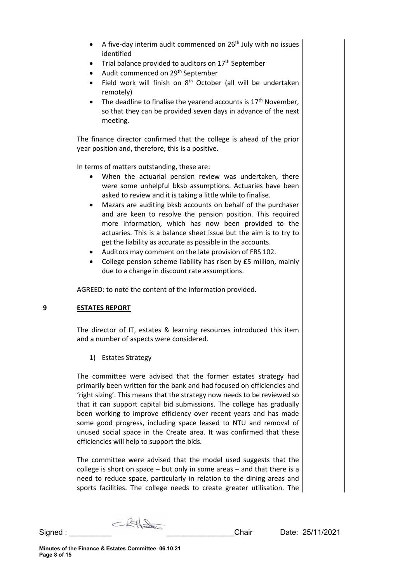- A five-day interim audit commenced on  $26<sup>th</sup>$  July with no issues identified
- Trial balance provided to auditors on  $17<sup>th</sup>$  September
- Audit commenced on 29<sup>th</sup> September
- Field work will finish on 8<sup>th</sup> October (all will be undertaken remotely)
- The deadline to finalise the yearend accounts is  $17<sup>th</sup>$  November, so that they can be provided seven days in advance of the next meeting.

The finance director confirmed that the college is ahead of the prior year position and, therefore, this is a positive.

In terms of matters outstanding, these are:

- When the actuarial pension review was undertaken, there were some unhelpful bksb assumptions. Actuaries have been asked to review and it is taking a little while to finalise.
- Mazars are auditing bksb accounts on behalf of the purchaser and are keen to resolve the pension position. This required more information, which has now been provided to the actuaries. This is a balance sheet issue but the aim is to try to get the liability as accurate as possible in the accounts.
- Auditors may comment on the late provision of FRS 102.
- College pension scheme liability has risen by £5 million, mainly due to a change in discount rate assumptions.

AGREED: to note the content of the information provided.

## **9 ESTATES REPORT**

The director of IT, estates & learning resources introduced this item and a number of aspects were considered.

## 1) Estates Strategy

The committee were advised that the former estates strategy had primarily been written for the bank and had focused on efficiencies and 'right sizing'. This means that the strategy now needs to be reviewed so that it can support capital bid submissions. The college has gradually been working to improve efficiency over recent years and has made some good progress, including space leased to NTU and removal of unused social space in the Create area. It was confirmed that these efficiencies will help to support the bids.

The committee were advised that the model used suggests that the college is short on space – but only in some areas – and that there is a need to reduce space, particularly in relation to the dining areas and sports facilities. The college needs to create greater utilisation. The

 $CKH_{\text{max}}$ Signed : \_\_\_\_\_\_\_\_\_\_ \_\_\_\_\_\_\_\_\_\_\_\_\_\_\_\_Chair Date: 25/11/2021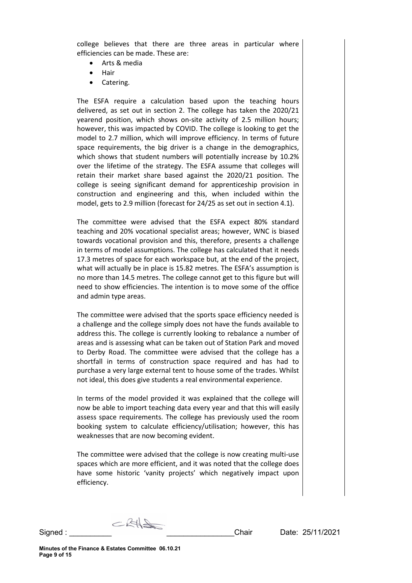college believes that there are three areas in particular where efficiencies can be made. These are:

- Arts & media
- Hair
- Catering.

The ESFA require a calculation based upon the teaching hours delivered, as set out in section 2. The college has taken the 2020/21 yearend position, which shows on-site activity of 2.5 million hours; however, this was impacted by COVID. The college is looking to get the model to 2.7 million, which will improve efficiency. In terms of future space requirements, the big driver is a change in the demographics, which shows that student numbers will potentially increase by 10.2% over the lifetime of the strategy. The ESFA assume that colleges will retain their market share based against the 2020/21 position. The college is seeing significant demand for apprenticeship provision in construction and engineering and this, when included within the model, gets to 2.9 million (forecast for 24/25 as set out in section 4.1).

The committee were advised that the ESFA expect 80% standard teaching and 20% vocational specialist areas; however, WNC is biased towards vocational provision and this, therefore, presents a challenge in terms of model assumptions. The college has calculated that it needs 17.3 metres of space for each workspace but, at the end of the project, what will actually be in place is 15.82 metres. The ESFA's assumption is no more than 14.5 metres. The college cannot get to this figure but will need to show efficiencies. The intention is to move some of the office and admin type areas.

The committee were advised that the sports space efficiency needed is a challenge and the college simply does not have the funds available to address this. The college is currently looking to rebalance a number of areas and is assessing what can be taken out of Station Park and moved to Derby Road. The committee were advised that the college has a shortfall in terms of construction space required and has had to purchase a very large external tent to house some of the trades. Whilst not ideal, this does give students a real environmental experience.

In terms of the model provided it was explained that the college will now be able to import teaching data every year and that this will easily assess space requirements. The college has previously used the room booking system to calculate efficiency/utilisation; however, this has weaknesses that are now becoming evident.

The committee were advised that the college is now creating multi-use spaces which are more efficient, and it was noted that the college does have some historic 'vanity projects' which negatively impact upon efficiency.

 $CRH$ Signed : \_\_\_\_\_\_\_\_\_\_ \_\_\_\_\_\_\_\_\_\_\_\_\_\_\_\_Chair Date: 25/11/2021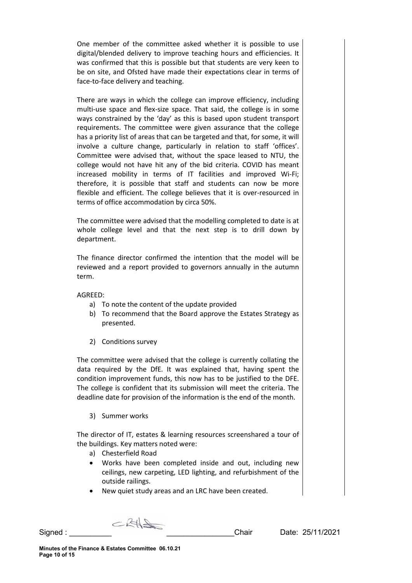One member of the committee asked whether it is possible to use digital/blended delivery to improve teaching hours and efficiencies. It was confirmed that this is possible but that students are very keen to be on site, and Ofsted have made their expectations clear in terms of face-to-face delivery and teaching.

There are ways in which the college can improve efficiency, including multi-use space and flex-size space. That said, the college is in some ways constrained by the 'day' as this is based upon student transport requirements. The committee were given assurance that the college has a priority list of areas that can be targeted and that, for some, it will involve a culture change, particularly in relation to staff 'offices'. Committee were advised that, without the space leased to NTU, the college would not have hit any of the bid criteria. COVID has meant increased mobility in terms of IT facilities and improved Wi-Fi; therefore, it is possible that staff and students can now be more flexible and efficient. The college believes that it is over-resourced in terms of office accommodation by circa 50%.

The committee were advised that the modelling completed to date is at whole college level and that the next step is to drill down by department.

The finance director confirmed the intention that the model will be reviewed and a report provided to governors annually in the autumn term.

AGREED:

- a) To note the content of the update provided
- b) To recommend that the Board approve the Estates Strategy as presented.
- 2) Conditions survey

The committee were advised that the college is currently collating the data required by the DfE. It was explained that, having spent the condition improvement funds, this now has to be justified to the DFE. The college is confident that its submission will meet the criteria. The deadline date for provision of the information is the end of the month.

3) Summer works

The director of IT, estates & learning resources screenshared a tour of the buildings. Key matters noted were:

- a) Chesterfield Road
- Works have been completed inside and out, including new ceilings, new carpeting, LED lighting, and refurbishment of the outside railings.
- New quiet study areas and an LRC have been created.

CRHS

Signed : \_\_\_\_\_\_\_\_\_\_ \_\_\_\_\_\_\_\_\_\_\_\_\_\_\_\_Chair Date: 25/11/2021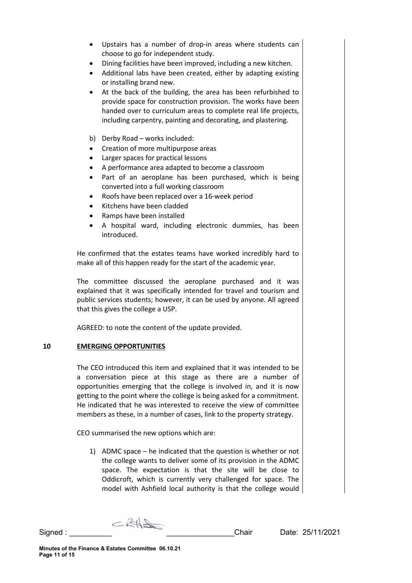- Upstairs has a number of drop-in areas where students can choose to go for independent study.
- Dining facilities have been improved, including a new kitchen.
- Additional labs have been created, either by adapting existing or installing brand new.
- At the back of the building, the area has been refurbished to provide space for construction provision. The works have been handed over to curriculum areas to complete real life projects, including carpentry, painting and decorating, and plastering.
- b) Derby Road works included:
- Creation of more multipurpose areas
- Larger spaces for practical lessons
- A performance area adapted to become a classroom
- Part of an aeroplane has been purchased, which is being converted into a full working classroom
- Roofs have been replaced over a 16-week period
- Kitchens have been cladded
- Ramps have been installed
- A hospital ward, including electronic dummies, has been introduced.

He confirmed that the estates teams have worked incredibly hard to make all of this happen ready for the start of the academic year.

The committee discussed the aeroplane purchased and it was explained that it was specifically intended for travel and tourism and public services students; however, it can be used by anyone. All agreed that this gives the college a USP.

AGREED: to note the content of the update provided.

## **10 EMERGING OPPORTUNITIES**

The CEO introduced this item and explained that it was intended to be a conversation piece at this stage as there are a number of opportunities emerging that the college is involved in, and it is now getting to the point where the college is being asked for a commitment. He indicated that he was interested to receive the view of committee members as these, in a number of cases, link to the property strategy.

CEO summarised the new options which are:

1) ADMC space – he indicated that the question is whether or not the college wants to deliver some of its provision in the ADMC space. The expectation is that the site will be close to Oddicroft, which is currently very challenged for space. The model with Ashfield local authority is that the college would

 $CRH$ Signed : \_\_\_\_\_\_\_\_\_\_ \_\_\_\_\_\_\_\_\_\_\_\_\_\_\_\_Chair Date: 25/11/2021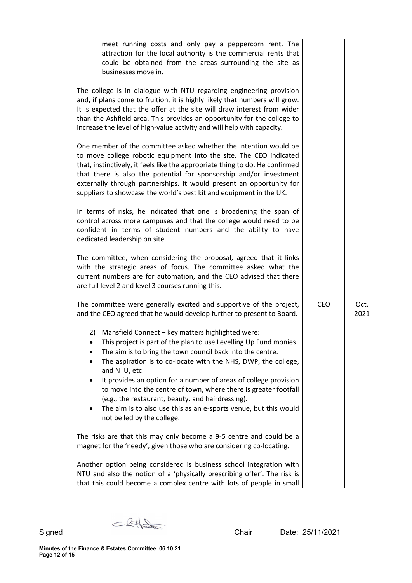| meet running costs and only pay a peppercorn rent. The<br>attraction for the local authority is the commercial rents that<br>could be obtained from the areas surrounding the site as<br>businesses move in.                                                                                                                                                                                                                                                                                                                                                                           |            |              |
|----------------------------------------------------------------------------------------------------------------------------------------------------------------------------------------------------------------------------------------------------------------------------------------------------------------------------------------------------------------------------------------------------------------------------------------------------------------------------------------------------------------------------------------------------------------------------------------|------------|--------------|
| The college is in dialogue with NTU regarding engineering provision<br>and, if plans come to fruition, it is highly likely that numbers will grow.<br>It is expected that the offer at the site will draw interest from wider<br>than the Ashfield area. This provides an opportunity for the college to<br>increase the level of high-value activity and will help with capacity.                                                                                                                                                                                                     |            |              |
| One member of the committee asked whether the intention would be<br>to move college robotic equipment into the site. The CEO indicated<br>that, instinctively, it feels like the appropriate thing to do. He confirmed<br>that there is also the potential for sponsorship and/or investment<br>externally through partnerships. It would present an opportunity for<br>suppliers to showcase the world's best kit and equipment in the UK.                                                                                                                                            |            |              |
| In terms of risks, he indicated that one is broadening the span of<br>control across more campuses and that the college would need to be<br>confident in terms of student numbers and the ability to have<br>dedicated leadership on site.                                                                                                                                                                                                                                                                                                                                             |            |              |
| The committee, when considering the proposal, agreed that it links<br>with the strategic areas of focus. The committee asked what the<br>current numbers are for automation, and the CEO advised that there<br>are full level 2 and level 3 courses running this.                                                                                                                                                                                                                                                                                                                      |            |              |
| The committee were generally excited and supportive of the project,<br>and the CEO agreed that he would develop further to present to Board.                                                                                                                                                                                                                                                                                                                                                                                                                                           | <b>CEO</b> | Oct.<br>2021 |
| 2) Mansfield Connect - key matters highlighted were:<br>This project is part of the plan to use Levelling Up Fund monies.<br>$\bullet$<br>The aim is to bring the town council back into the centre.<br>The aspiration is to co-locate with the NHS, DWP, the college,<br>and NTU, etc.<br>It provides an option for a number of areas of college provision<br>to move into the centre of town, where there is greater footfall<br>(e.g., the restaurant, beauty, and hairdressing).<br>The aim is to also use this as an e-sports venue, but this would<br>not be led by the college. |            |              |
| The risks are that this may only become a 9-5 centre and could be a<br>magnet for the 'needy', given those who are considering co-locating.                                                                                                                                                                                                                                                                                                                                                                                                                                            |            |              |
| Another option being considered is business school integration with<br>NTU and also the notion of a 'physically prescribing offer'. The risk is<br>that this could become a complex centre with lots of people in small                                                                                                                                                                                                                                                                                                                                                                |            |              |

Signed : \_\_\_\_\_\_\_\_\_\_ \_\_\_\_\_\_\_\_\_\_\_\_\_\_\_\_Chair Date: 25/11/2021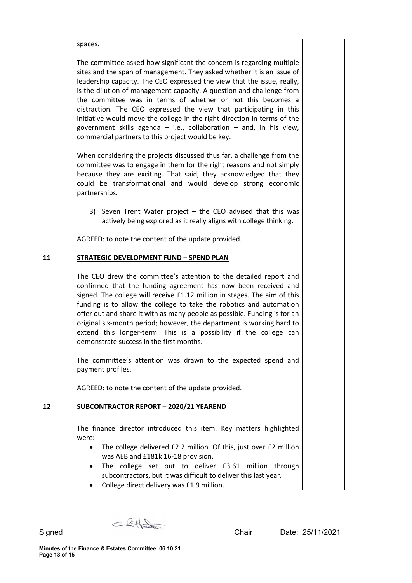spaces.

The committee asked how significant the concern is regarding multiple sites and the span of management. They asked whether it is an issue of leadership capacity. The CEO expressed the view that the issue, really, is the dilution of management capacity. A question and challenge from the committee was in terms of whether or not this becomes a distraction. The CEO expressed the view that participating in this initiative would move the college in the right direction in terms of the government skills agenda  $-$  i.e., collaboration  $-$  and, in his view, commercial partners to this project would be key.

When considering the projects discussed thus far, a challenge from the committee was to engage in them for the right reasons and not simply because they are exciting. That said, they acknowledged that they could be transformational and would develop strong economic partnerships.

3) Seven Trent Water project – the CEO advised that this was actively being explored as it really aligns with college thinking.

AGREED: to note the content of the update provided.

#### **11 STRATEGIC DEVELOPMENT FUND – SPEND PLAN**

The CEO drew the committee's attention to the detailed report and confirmed that the funding agreement has now been received and signed. The college will receive £1.12 million in stages. The aim of this funding is to allow the college to take the robotics and automation offer out and share it with as many people as possible. Funding is for an original six-month period; however, the department is working hard to extend this longer-term. This is a possibility if the college can demonstrate success in the first months.

The committee's attention was drawn to the expected spend and payment profiles.

AGREED: to note the content of the update provided.

#### **12 SUBCONTRACTOR REPORT – 2020/21 YEAREND**

The finance director introduced this item. Key matters highlighted were:

- The college delivered £2.2 million. Of this, just over £2 million was AEB and £181k 16-18 provision.
- The college set out to deliver £3.61 million through subcontractors, but it was difficult to deliver this last year.
- College direct delivery was £1.9 million.

CRHS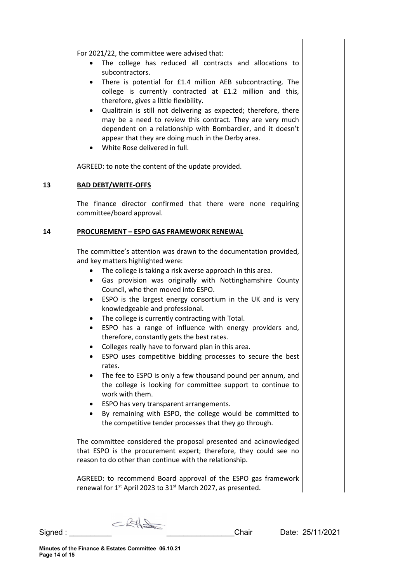For 2021/22, the committee were advised that:

- The college has reduced all contracts and allocations to subcontractors.
- There is potential for £1.4 million AEB subcontracting. The college is currently contracted at £1.2 million and this, therefore, gives a little flexibility.
- Qualitrain is still not delivering as expected; therefore, there may be a need to review this contract. They are very much dependent on a relationship with Bombardier, and it doesn't appear that they are doing much in the Derby area.
- White Rose delivered in full.

AGREED: to note the content of the update provided.

#### **13 BAD DEBT/WRITE-OFFS**

The finance director confirmed that there were none requiring committee/board approval.

#### **14 PROCUREMENT – ESPO GAS FRAMEWORK RENEWAL**

The committee's attention was drawn to the documentation provided, and key matters highlighted were:

- The college is taking a risk averse approach in this area.
- Gas provision was originally with Nottinghamshire County Council, who then moved into ESPO.
- ESPO is the largest energy consortium in the UK and is very knowledgeable and professional.
- The college is currently contracting with Total.
- ESPO has a range of influence with energy providers and, therefore, constantly gets the best rates.
- Colleges really have to forward plan in this area.
- ESPO uses competitive bidding processes to secure the best rates.
- The fee to ESPO is only a few thousand pound per annum, and the college is looking for committee support to continue to work with them.
- ESPO has very transparent arrangements.
- By remaining with ESPO, the college would be committed to the competitive tender processes that they go through.

The committee considered the proposal presented and acknowledged that ESPO is the procurement expert; therefore, they could see no reason to do other than continue with the relationship.

AGREED: to recommend Board approval of the ESPO gas framework renewal for 1<sup>st</sup> April 2023 to 31<sup>st</sup> March 2027, as presented.

 $CRH$ Signed : \_\_\_\_\_\_\_\_\_\_ \_\_\_\_\_\_\_\_\_\_\_\_\_\_\_\_Chair Date: 25/11/2021